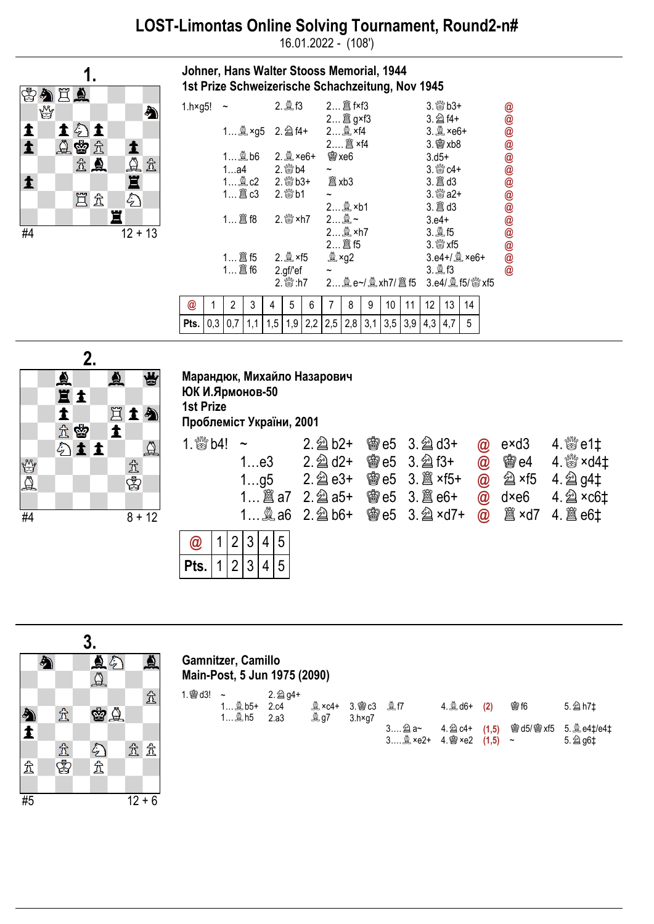## LOST-Limontas Online Solving Tournament, Round2-n#

16.01.2022 - (108')

Johner, Hans Walter Stooss Memorial, 1944



| 1st Prize Schweizerische Schachzeitung, Nov 1945                                                                        |   |                                      |   |   |              |   |                       |          |   |    |    |                            |                           |    |  |             |
|-------------------------------------------------------------------------------------------------------------------------|---|--------------------------------------|---|---|--------------|---|-----------------------|----------|---|----|----|----------------------------|---------------------------|----|--|-------------|
| 1.h×g5! $\sim$                                                                                                          |   |                                      |   |   |              |   | 2 2 f×f3              |          |   |    |    | $3.$ $80 + 3 + 1$          |                           |    |  | @           |
|                                                                                                                         |   |                                      |   |   |              |   |                       | 2 2 g×f3 |   |    |    | $3.\n  2$ f4+              |                           |    |  |             |
|                                                                                                                         |   | 1 @ ×g5 2. @ f4+ 2 @ ×f4             |   |   |              |   |                       |          |   |    |    | $3.2$ ×e6+                 |                           |    |  | @<br>@      |
|                                                                                                                         |   |                                      |   |   |              |   |                       |          |   |    |    |                            | $3.$ 窗 xb8                |    |  |             |
|                                                                                                                         |   | $1$ 2, b6 $2.$ 2, $\frac{3}{2}$ ×e6+ |   |   |              |   | 嚠 xe6                 |          |   |    |    |                            | $3. d5+$                  |    |  |             |
|                                                                                                                         |   | 1a4 2. 10 2.                         |   |   |              |   | $\tilde{}$            |          |   |    |    | $3.$ $\frac{80}{20}$ $c4+$ |                           |    |  | @<br>@      |
|                                                                                                                         |   |                                      |   |   |              |   | 闔 xb3                 |          |   |    |    |                            |                           |    |  |             |
| 1 圖 c3 2. & b1                                                                                                          |   |                                      |   |   |              |   | $\tilde{\phantom{a}}$ |          |   |    |    | $3.$ $8\%$ a $2+$          |                           |    |  | $\circleda$ |
|                                                                                                                         |   |                                      |   |   |              |   | 2 鱼 ×b1               |          |   |    |    |                            |                           |    |  | @<br>@      |
|                                                                                                                         |   |                                      |   |   | 2. 5xh7 2 奥~ |   |                       |          |   |    |    |                            | $3. e4+$                  |    |  |             |
|                                                                                                                         |   |                                      |   |   |              |   | 2 鱼 ×h7               |          |   |    |    | 3. 凰 f5                    |                           |    |  | 00000       |
|                                                                                                                         |   |                                      |   |   |              |   |                       | 2 2 f5   |   |    |    |                            | $3.$ $\frac{80}{20}$ xf5  |    |  |             |
|                                                                                                                         |   |                                      |   |   |              |   |                       | 奠 ×g2    |   |    |    |                            | $3.64 + / 22 \times 66 +$ |    |  |             |
| 2.9f/ef                                                                                                                 |   |                                      |   |   |              |   |                       |          |   |    |    | 3. 凰 f3                    |                           |    |  |             |
|                                                                                                                         |   |                                      |   |   |              |   |                       |          |   |    |    |                            |                           |    |  |             |
| @                                                                                                                       | 1 | 2                                    | 3 | 4 | 5            | 6 | 7                     | 8        | 9 | 10 | 11 | 12                         | 13                        | 14 |  |             |
| <b>Pts.</b> $\begin{bmatrix} 0,3 & 0,7 & 1,1 & 1,5 & 1,9 & 2,2 & 2,5 & 2,8 & 3,1 & 3,5 & 3,9 & 4,3 & 4,7 \end{bmatrix}$ |   |                                      |   |   |              |   |                       |          |   |    |    |                            |                           | 5  |  |             |



## Марандюк, Михайло Назарович ЮК И.Ярмонов-50

1st Prize

Pts.

Проблеміст України, 2001

| 1. $\frac{800}{200}$ b4! ~ |  |  |  |     |                     | $2.\ntrianglelefteq b2+$ | <b>@e5 3. @d3+</b>              | $\omega$ exd3 | 4. $\%$ e1‡                                       |
|----------------------------|--|--|--|-----|---------------------|--------------------------|---------------------------------|---------------|---------------------------------------------------|
|                            |  |  |  | 1e3 |                     | $2.\n\hat{\otimes}$ d2+  | <b>@e5 3. @ f3+</b>             |               | @ 窗e4 4. stxd4t                                   |
|                            |  |  |  | 1q5 |                     | $2.\n  2$ e3+            | <b>@e5 3. 2 ×f5+</b>            |               | $\omega$ $\hat{\omega}$ ×f5 4. $\hat{\omega}$ g4‡ |
|                            |  |  |  |     | <b>@e5 3. 8 e6+</b> |                          | $\omega$ dxe6 4. $\approx$ xc6t |               |                                                   |
|                            |  |  |  |     |                     | 1 $\&$ a6 2. $\&$ b6+    |                                 |               |                                                   |
| $\circledR$                |  |  |  |     | 1 2 3 4 5           |                          |                                 |               |                                                   |

|    |   |                     | 3. |               |    |              |  |
|----|---|---------------------|----|---------------|----|--------------|--|
|    | 小 |                     |    | $\frac{1}{2}$ |    | ♨            |  |
|    |   |                     |    |               |    |              |  |
|    |   |                     |    |               |    | $\mathbb{Z}$ |  |
|    |   | $\mathcal{\hat{X}}$ |    | 留义            |    |              |  |
| 勾主 |   |                     |    |               |    |              |  |
|    |   |                     |    |               | 岔岔 |              |  |
| 贠  |   | 金牌                  |    | 分立            |    |              |  |
|    |   |                     |    |               |    |              |  |
| #5 |   |                     |    |               |    | $12 + 6$     |  |

## Gamnitzer, Camillo Main-Post, 5 Jun 1975 (2090)

 $1|2|3$ 

4

5

| $1.$ (@ d3! ~ | 1 鱼 b5+ 2.c4 | 2. 2 g4+ |             | <b>Qxc4+ 3.曾c3 QR</b> f7 | 4. $\triangleq$ d6+ (2) | <b>曾16</b> | 5. 2 h7‡                                                    |
|---------------|--------------|----------|-------------|--------------------------|-------------------------|------------|-------------------------------------------------------------|
|               | 1 凰 h5  2.a3 |          | <b>奧 g7</b> | 3.h×a7                   |                         |            | 3 a a ~ 4. a c4+ (1,5) 窗 d5/ 窗 xf5 5. @ e4‡/e4‡<br>5. 2 g6‡ |